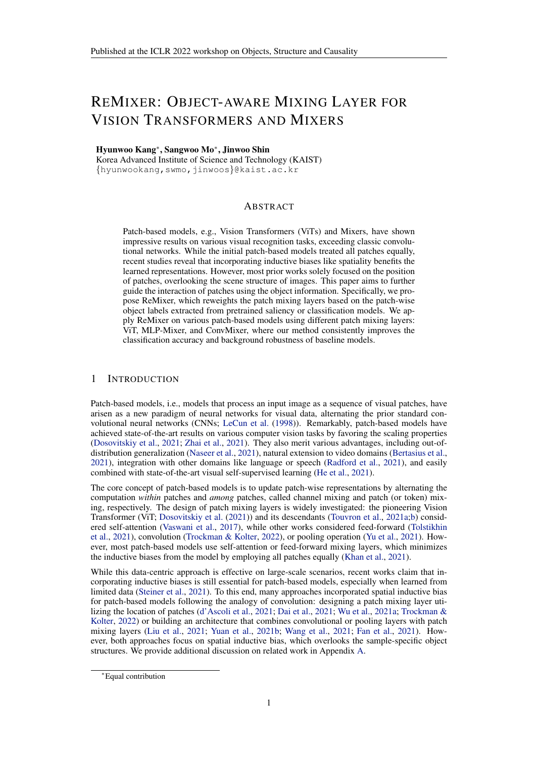# REMIXER: OBJECT-AWARE MIXING LAYER FOR VISION TRANSFORMERS AND MIXERS

#### Hyunwoo Kang<sup>∗</sup> , Sangwoo Mo<sup>∗</sup> , Jinwoo Shin

Korea Advanced Institute of Science and Technology (KAIST) {hyunwookang,swmo,jinwoos}@kaist.ac.kr

## ABSTRACT

Patch-based models, e.g., Vision Transformers (ViTs) and Mixers, have shown impressive results on various visual recognition tasks, exceeding classic convolutional networks. While the initial patch-based models treated all patches equally, recent studies reveal that incorporating inductive biases like spatiality benefits the learned representations. However, most prior works solely focused on the position of patches, overlooking the scene structure of images. This paper aims to further guide the interaction of patches using the object information. Specifically, we propose ReMixer, which reweights the patch mixing layers based on the patch-wise object labels extracted from pretrained saliency or classification models. We apply ReMixer on various patch-based models using different patch mixing layers: ViT, MLP-Mixer, and ConvMixer, where our method consistently improves the classification accuracy and background robustness of baseline models.

## 1 INTRODUCTION

Patch-based models, i.e., models that process an input image as a sequence of visual patches, have arisen as a new paradigm of neural networks for visual data, alternating the prior standard convolutional neural networks (CNNs; LeCun et al. (1998)). Remarkably, patch-based models have achieved state-of-the-art results on various computer vision tasks by favoring the scaling properties (Dosovitskiy et al., 2021; Zhai et al., 2021). They also merit various advantages, including out-ofdistribution generalization (Naseer et al., 2021), natural extension to video domains (Bertasius et al., 2021), integration with other domains like language or speech (Radford et al., 2021), and easily combined with state-of-the-art visual self-supervised learning (He et al., 2021).

The core concept of patch-based models is to update patch-wise representations by alternating the computation *within* patches and *among* patches, called channel mixing and patch (or token) mixing, respectively. The design of patch mixing layers is widely investigated: the pioneering Vision Transformer (ViT; Dosovitskiy et al. (2021)) and its descendants (Touvron et al., 2021a;b) considered self-attention (Vaswani et al., 2017), while other works considered feed-forward (Tolstikhin et al., 2021), convolution (Trockman & Kolter, 2022), or pooling operation (Yu et al., 2021). However, most patch-based models use self-attention or feed-forward mixing layers, which minimizes the inductive biases from the model by employing all patches equally (Khan et al., 2021).

While this data-centric approach is effective on large-scale scenarios, recent works claim that incorporating inductive biases is still essential for patch-based models, especially when learned from limited data (Steiner et al., 2021). To this end, many approaches incorporated spatial inductive bias for patch-based models following the analogy of convolution: designing a patch mixing layer utilizing the location of patches (d'Ascoli et al., 2021; Dai et al., 2021; Wu et al., 2021a; Trockman & Kolter, 2022) or building an architecture that combines convolutional or pooling layers with patch mixing layers (Liu et al., 2021; Yuan et al., 2021b; Wang et al., 2021; Fan et al., 2021). However, both approaches focus on spatial inductive bias, which overlooks the sample-specific object structures. We provide additional discussion on related work in Appendix [A.](#page-9-0)

<sup>∗</sup>Equal contribution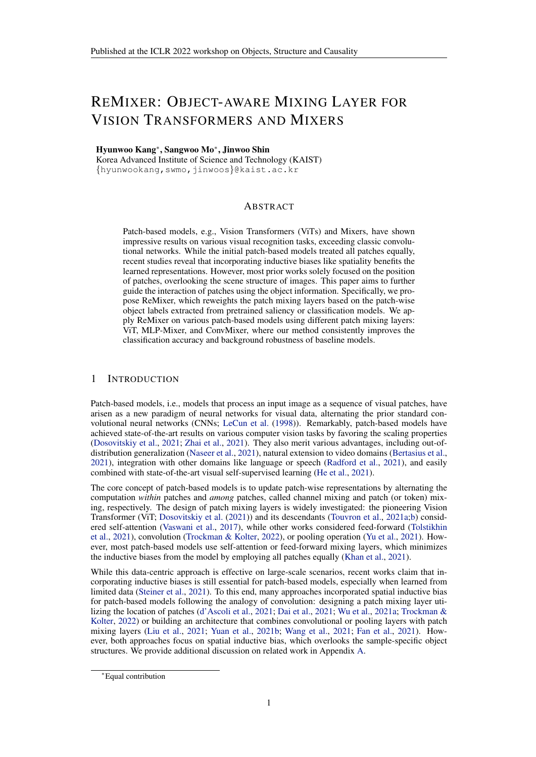Contribution. We propose ReMixer, a novel reweighting scheme for patch mixing layers leveraging the object structure of images. We demonstrate that ReMixer improves classi cation accuracy and background robustness of patch-based models, outperforming the models considering spatiality.

## 2 REMIXER: OBJECT-AWARE MIXING LAYER

The main idea of ReMixer is to strengthen the interaction of patches containing similar objects while regularizing the connection of different objects (and background). Intuitively, ReMixer improves the discriminability of objects (i.e., better classi cation) and reduces the spurious correlations between objects and backgrounds (i.e., robust to background and distribution shifts) by learning disentangled representations of objects. We rst introduce a general framework of object-aware mixing layer in Section [2.1](#page-1-0), then illustrate the speci c instantiations for various architectures in [Secti](#page-1-1)on 2.2.

#### <span id="page-1-0"></span>2.1 COMPUTING REWEIGHTING MASK FORREMIXER

The idea of patch-based models is to reshape a 2D image  $R^{H-W-C}$  into a sequence of attened 2D patche $\mathbf{x}^0$  2  $\mathsf{R}^{\mathsf{N}-(\mathsf{P}^2\mathsf{C})}$ , where(H; W) is the resolution of original image, is the number of color channels(P; P) is the resolution of each image patch,  $\mathbf{d}\mathbf{w} = \mathbf{P}^2$  is the number of patches. Patch-based models rst convert the 2D patches into patch (or token) fadtures f  $_{\rm embed}(x^0)$  2  $\,$ R<sup>N D</sup> with latent dimensionD using an embedding function  $_{\rm embed}$ , then update the patch features by alternating two operations: (a) patch mixing layers: R<sup>N</sup> ! R<sup>N</sup> which mix the features among patches, and (b) channel mixing layers R<sup>D</sup> ! R<sup>D</sup> which mix the features among channels, whetemplies the operation of layer Formally, thel-th layer of patch-based model updates an input vector 2  $R^N$   $\overline{P}$  to an output vectox<sup>1+1</sup> 2  $R^N$   $\overline{P}$  following:

$$
z^{l+1} = [ z^{l+1}_{1:N;d} ] = [ f_{mix}(x^l_{1;d} ; x^l_{2;d} ; \dots ; x^l_{N;d} ) ]
$$
 (1)

$$
x^{1+1} = [x_{n;1:D}^{1+1}] = [g_{mix}(z_{n;1}^{1+1} ; z_{n;2}^{1+1} ; \dots ; z_{n;D}^{1+1})]
$$
(2)

wherez<sub>n;d</sub> andx<sub>n;d</sub> denotesn-th patch,d-th channel value, an $\mathbf{z}_{1:N;d}^{l+1}$  2 R<sup>N</sup> andx $_{n;1:D}^{l+1}$  2 R<sup>D</sup> denotes row-wise and column-wise subvector and x, respectively.

We introduce ReMixer, a universal framework for improving patch mixing laters by incorporating the object structure of images. To this end, we utilize the patch-wise labeR<sup>N K</sup> where K is the number of object classes. Using them, we compute the reweighting Mask R<sup>N N</sup> that strengthens the interaction of patches of similar objects while regularizing the connection of different objects and backgrounds. Formally, we se(*t*tje)-th value of the reweighting ma**sk**  $_{\rm ij}^{\rm t}$ as a reverse distance between the object labels of two patchesy<sub>j</sub>:

<span id="page-1-2"></span>
$$
M_{ij}^1 := \exp(-\frac{(1)}{(1)} d(y_i; y_j)) 2 (0; 1]
$$
 (3)

where  $\,^{(1)}$  O is a learnable mask scale (scalar) parameter for each layet(an)d:  $\, {\sf R}^{\sf K} \,$  : R $^{\sf K} \,$  : R is a distance function for object labels. We initializ $\theta$  by zero for training, i.e., consider the full interaction initially then focus on the objects a $\overset{\text{d}}{\text{e}}$  increases. We observe that the model sets higher  $(1)$  for lower layers and lower $(1)$  for higher layers (especially, $(1)$  = 0 for the nal layer) after training, i.e., ReMixer automatically attends the intra-object relations rst then expand to the inter-object relations, which resembles the local-to-global structure of CNNs (see Table 3).

We aim to calibrate the  $\blacksquare$  N interaction of patch mixing layers using the reweighting mask If the patch mixing layef  $_{mix} := L_{mix}$  is linear, one can simply (element-wise) multiply the mask to get the masked linear mixed  $L_{mix}$ . While ReMixer can be applied to any patch layers in  $L_{mix}$ . While ReMixer can be applied to any patch layers in principle, one needs careful design to consider the nonlinear dynamics of each layer. We provide speci c implementations of ReMixer on various representative models in the next section.

Obtaining object labels. We extract object labels from saliency (Voynov et al., 2021) or classi cation (Yun et al., 2021) models trained from other source datasets. See Ap[pe](#page-10-0)ndix B for details.

#### <span id="page-1-1"></span>2.2 REMIXER FOR VIT AND MIXERS

We brie y review three representative patch mixing layers: self-attention, feed-forward, and convolution, and describe the implementations of ReMixer for each layer.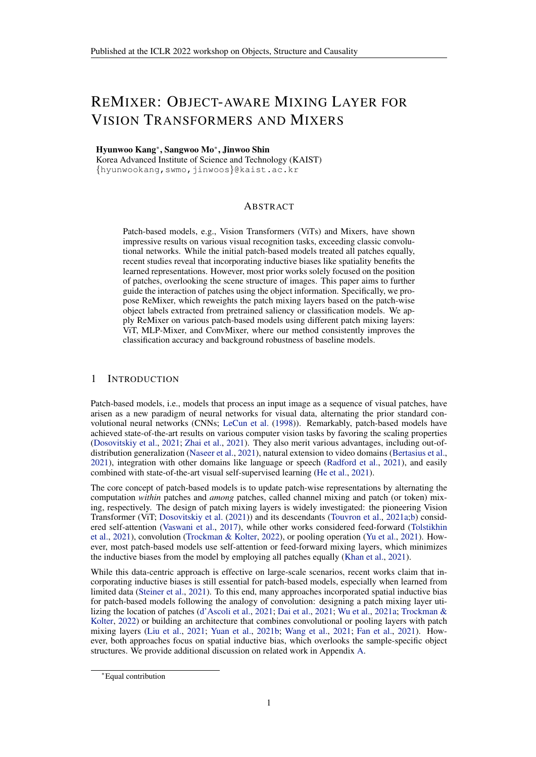ReMixer for self-attention. Self-attention (Vaswani et al., 2017) mixing layers update patch features by aggregating values with normalized importances (or attentions):

$$
f_{mix}(x) := \text{Softmax} \; (\frac{QK^{T}}{D_{K}}) \; V
$$
\n
$$
|\frac{ZZ}{\text{attention matrix}}|
$$
\n(4)

whereQ, K , V are query, key, and value, respectively, which are linear projections of *i*nput  $R^{N-D}$ , given by Q := x W <sub>Q</sub> 2 R<sup>N D<sub>K</sub>, K := x W<sub>K</sub> 2 R<sup>N D<sub>K</sub>, and V := x W <sub>V</sub> 2 R<sup>N D<sub>V</sub>.</sup></sup></sup> Here, we compute independent attention heads and aggregate outputs for the nal output of size N D for  $D = H D_V$ . Recall that self-attention is basically a matrix multiplication of attention and valueV matrices, and one can (element-wise) multiply the reweighting mate the attention matrix to calibrate interaction. Then, we renormalize the masked attention A to make the rowwise sum be 1 as the original self-attention. To sum up, ReMixer for self-attention is:

$$
f_{\text{remix}}(x) := [A_{ij}] \quad V = [P \frac{M_{ij} - A_{ij}}{M_{ij} - A_{ij}}] \quad V \tag{5}
$$

whereA is the renormalized masked attention. We nally remark that patch-based models using self-attention often use the additional [CLS] token to aggregate the global feature. Here, we de ne the mask value between the [CLS] token and every other patch to be one and apply Eq. (5).

ReMixer for feed-forward. Feed-forward (or multi-layer perceptron; MLP) mixing layers update patch features with a channel-wise MLP. Since each channel is computed independently, we only consider a 1 vector of a single channel. Then, the mixer layer is:

$$
f_{mix}(x) := W_m \t(W_{m-1} \t(W_1 \t x))) \t(6)
$$

whereW  $_1$ ; :::; W  $_m$  are weight matrices and is a nonlinear activation. However, it is nontrivial to apply the reweighting mask sincef  $_{mix}$  is nonlinear. To tackle this issue, we decompose the mixing layerf  $_{mix}$  into a linear approximatio $h_{mix}^x$  x f  $_{mix}$  (x) for a (possibly data-dependent) matrix L $_{mix}^x$  2 R<sup>N N</sup> and a residual terrfi<sub>mix</sub> (x) L<sub>mix</sub> x. Here, we only calibrate the linear term but omit the residual term. Then, ReMixer for feed-forward is given by:

$$
f_{\text{remix}}(x) := \left(\frac{M}{\sum_{\text{masked linear}}^{x} x} \right) x + \left(\frac{f_{\text{mix}}(x)}{\sum_{\text{residual}}^{x} x}\right)
$$
 (7)

where is an element-wise product. While nding a gob $\sharp_{\text{fix}}$  is nontrivial in general, we found that a simple trick of dropping nonlinear activations gives an ef cient yet effective solution:

$$
L_{mix} := W_m W_{m-1} W_1 2 R^{N} N: \tag{8}
$$

We observe that this (somewhat crude) approximation performs well in practice. We also tried some data-dependent variants but did not see gain despite their computational burdens.

ReMixer for convolution. Convolutional mixing layers update patch features with a channel-wise 2D convolution. Similar to the feed-forward case, we only consider a single channekin which is  $x_{1:N,d}$  formally), reshaped as at H W tensor where  $H$ ; W = (H=P; W=P) is the resolution of patch features. Then, the mixer layer is:

$$
f_{mix}(x) := W_{conv} \quad x \tag{9}
$$

whereW <sub>conv</sub> 2 R<sup>1 1 S S</sup> is a kernel matrix with size and denotes convolution operation. Here, we consider the linearized version of kernel matrix (i.e., Toeplitz matrix) that substitutes the convolution to the matrix multiplication. Then, one can interpret the mixer layer as:

$$
f_{mix}(x) = W_{linear} \qquad x \tag{10}
$$

whereW  $_{\sf linear}$   $\;$  2  $\mathsf{R}^\mathsf{N}$   $\;$   $^\mathsf{N}$  is the corresponding matrix  $\mathsf{d}\mathsf{W}$   $_{\sf conv}$  and $\star$  is a reshaped tensor  $\mathsf{w}$ fof sizeN  $1$ , whereN = H W. Here, one can directly multiply the reweighting mask to de ne the ReMixer for convolution:

$$
f_{\text{remix}}(x) := (M \quad W_{\text{linear}}) \quad x \tag{11}
$$

where is an element-wise product. We also compare ReMixer with the models using different kernel matrix for each channel, i.e.V,  $_{conv}$  2 R<sup>D 1 S S</sup> (see Appendix D).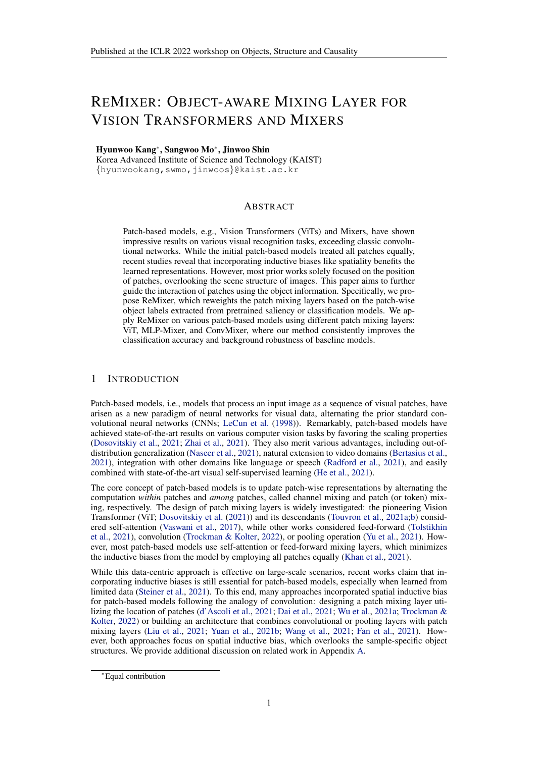Table 1: ReMixer using various object labelers evaluated on the Background Challenge benchmark. `+' denotes the modules added to the baseline (not accumulated), and parenthesis denotes the gain of each module. ReMixer consistently improves the classi cation accuracy of background robustness<sup>t</sup> (h) of various patch-based models: DeiT, MLP-Mixer, and ConvMixer.

|                                                         | Patch labeler                                | Origina <sup>r</sup> <sup>0</sup>     | Only-BG-B $\#$ )                           | Only-FG $(')$                             | Mixed-Same <sup>"</sup> ()                | Mixed-Rand $(')$                          | $BG-Gap$ #)                               |
|---------------------------------------------------------|----------------------------------------------|---------------------------------------|--------------------------------------------|-------------------------------------------|-------------------------------------------|-------------------------------------------|-------------------------------------------|
| DeiT-S<br>+ ReMixer (ours)<br>+ ReMixer (ours)          | <b>BigBiGAN</b><br>ReLabel                   | 82.69<br>$83.88 + 1.19$<br>86.323.63) | 39.46<br>$36.59(-2.87)$<br>$31.78(-7.68)$  | 57.63<br>$60.10(+2.47)$<br>$61.93(+4.30)$ | 73.88<br>75.95(+2.07)<br>78.44(+4.56)     | 50.49<br>$54.07(+3.58)$<br>$56.74(+6.25)$ | 23.39<br>$21.88(-1.51)$<br>$21.70(-1.69)$ |
| MLP-Mixer-S/16<br>+ ReMixer (ours)<br>+ ReMixer (ours)  | $\overline{a}$<br><b>BigBiGAN</b><br>ReLabel | 84.99<br>$86.30 + 1.31$<br>87.682.69) | 40.96<br>$36.64(-4.32)$<br>$27.28(-13.68)$ | 63.63<br>$66.15(+2.52)$<br>$67.88(+4.25)$ | 76.52<br>78.47(+1.95)<br>79.43(+2.91)     | 54.72<br>$58.54(+3.82)$<br>$60.44(+5.72)$ | 21.80<br>$19.93(-1.87)$<br>$18.99(-2.81)$ |
| ConvMixer-512/8<br>+ ReMixer (ours)<br>+ ReMixer (ours) | <b>BigBiGAN</b><br>ReLabel                   | 86.32<br>$86.35 + 0.03$<br>88.492.17  | 41.38<br>$37.09(-4.29)$<br>$35.60(-5.78)$  | 66.84<br>$70.03(+3.19)$<br>71.60(+4.76)   | 78.59<br>$80.27(+1.68)$<br>$81.70(+3.11)$ | 56.99<br>$59.19(+2.20)$<br>$63.93(+6.94)$ | 21.60<br>$21.09(-0.51)$<br>17.77(-3.83)   |

Table 2: Comparison of ReMixer (with ReLabel) vs. ConViT (spatial inductive bias). `+' denotes the modules added to the baseline (not accumulated), and parenthesis denotes the gain of each module.

|                           | Original (")   | Only-BG-B $\left(\!\frac{\mathit{H}}{\mathit{H}}\right)$ | Only-FG (*)    | Mixed-Same () | Mixed-Rand $\mathfrak{r}$ ) | BG-Gap #)      |
|---------------------------|----------------|----------------------------------------------------------|----------------|---------------|-----------------------------|----------------|
| DeiT-S                    | 82.69          | 39.46                                                    | 57.63          | 73.88         | 50.49                       | 23.39          |
| + ConViT                  | $85.51(+2.82)$ | $38.94(-0.52)$                                           | $62.15(+4.52)$ | 76.40(+2.52)  | $54.37(+3.88)$              | $22.03(-1.36)$ |
| + ReMixer (ours)          | $86.32 + 3.63$ | 31.78(-7.68)                                             | $61.93(+4.30)$ | 78.44(+4.56)  | $56.74(+6.25)$              | 21.70(-1.69)   |
| + ConViT + ReMixer (ours) | $88.20 + 5.51$ | 30.79(-8.67)                                             | 66.82(+9.19)   | 79.16(+5.28)  | $60.52(+10.03)$             | $18.64(-4.75)$ |

| Table 3: Learned mask scale <sup>(f)</sup> over layers. |  |
|---------------------------------------------------------|--|
|---------------------------------------------------------|--|

|                 | Layer 1/4 | Layer 2/4 | Layer 3/4 | Layer $4/4$ |
|-----------------|-----------|-----------|-----------|-------------|
| DeiT-S          | 1.571     | 0.783     | 0.945     | 0.287       |
| MLP-Mixer-S/16  | 0.744     | 0.000     | 0.001     | 0.061       |
| ConvMixer-512/8 | 0.871     | 2.347     | 1.498     | 0.001       |

(a) Original (b) DeiT-S (c) ReMixer Table 4: Saliency map visualization.

## 3 EXPERIMENTS

We rst verify the ef cacy of ReMixer in Section 3.2, outperforming both vanilla patch-based models and models considering spatial inductive bias. Then, we demonstrate the robustness of ReMixer on out-of-distribution datasets in Section 3.3. We also show that ReMixer outperforms the method that requires the same-level of supervision in Section 3.4, con rming that the remixing of patch mixing layers gives improvements. The experimental settings are in Section 3.1.

#### 3.1 EXPERIMENTAL SETTINGS

Models and training. We apply ReMixer on three representative patch-based models: DeiT (Touvron et al., 2021a), MLP-Mixer (Tolstikhin et al., 2021), and ConvMixer (Trockman & Kolter, 2022), using self-attention, feed-forward, and convolutional patch mixing layers, respectively. Speci cally, we use DeiT-S, MLP-Mixer-S/16, and ConvMixer-512/8. ConvMixer-512/8 has kernel size 9 and patch size 16 following MLP-Mixer-S/16 con gurations, and we share the convolution kernel over channels by default, while we provide the unshared results in Appendix D. We follow the default training setup of (Touvron et al., 2021a), but use 256 batch sizes due to memory issues in our GPUs.

Object labels. We consider three object labels: rst two are BigBiGAN (Voynov et al., 2021) and ReLabel (Yun et al., 2021), representative methods for binary saliency and multi-class prediction maps, respectively. We also test Bbox+GrabCut, which extracts binary masks from the ground-truth bounding boxes using the GrabCut (Rother et al., 2004) algorithm.

#### 3.2 MAIN RESULTS

Setup. We train the models on the ImageNet-9 (Xiao et al., 2021a), which is a 9 superclass subset of ImageNet. We report the results on the Background Challenge (Xiao et al., 2021a) benchmark to evaluate the background robustness of models. Background Challenge contains 8 datasets: ORIGINAL ("), ONLY-BG-B (#), ONLY-BG-T (#), NO-FG (#), ONLY-FG ("), MIXED-SAME ("), MIXED-RAND ("), and MIXED-NEXT ("), where the upper or lower arrows indicate the model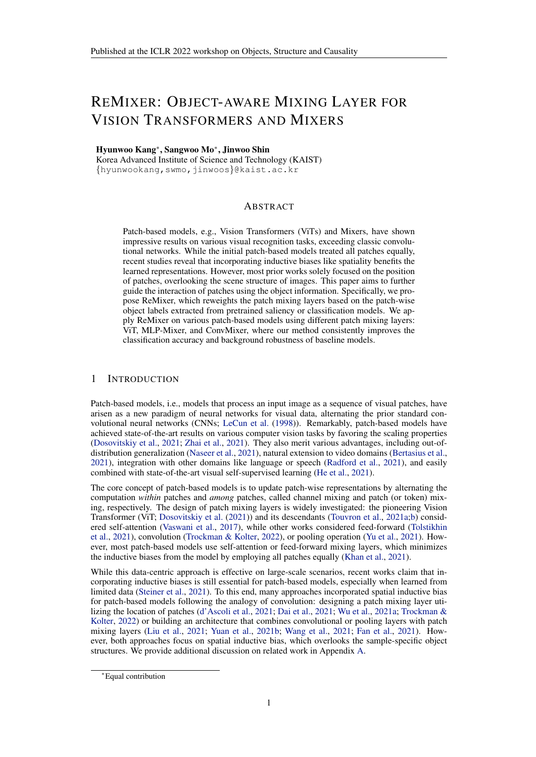|                  | ImageNet-9     | ImageNetV2-9 | ReaL-9         | Rendition-9    | Stylized-9     | Sketch-9       |
|------------------|----------------|--------------|----------------|----------------|----------------|----------------|
| DeiT-S           | 82.69          | 73.22        | 80.21          | 28.60          | 21.90          | 27.26          |
| + ReMixer (ours) | $83.88(+1.19)$ | 75.68(+2.46) | $82.37(+2.16)$ | $29.43(+0.83)$ | $24.64(+2.74)$ | $27.93(+0.67)$ |
| MLP-Mixer-S/16   | 84.99          | 76.57        | 82.70          | 34.25          | 25.54          | 37.07          |
| + ReMixer (ours) | $86.30(+1.31)$ | 76.51(-0.06) | $83.37(+0.67)$ | $34.29(+0.04)$ | $27.08(+1.54)$ | $38.16(+1.09)$ |
| ConvMixer-512/8  | 86.32          | 76.38        | 83.16          | 33.33          | 24.21          | 34.36          |
| + ReMixer (ours) | $86.35(+0.03)$ | 76.97(+0.59) | $83.56(+0.40)$ | $33.81(+0.48)$ | $24.94(+0.73)$ | $35.72(+1.36)$ |

Table 5: Test accuracy of ReMixer (with BigBiGAN) trained on ImageNet-9 and tested on out-ofdistribution. `+' denotes the modules added to the baseline, and bold denotes the best results.

Table 6: Test accuracy of ReMixer (with ReLabel) trained on ImageNet. We compare TokenLabeling (TL) and TL+ReMixer (Ours), verifying our remixing scheme on the fair comparison setting.

|        | TI.   | TL + ReMixer   |
|--------|-------|----------------|
| DeiT-S | 80.20 | $81.26 + 1.06$ |
| DeiT-B | 81.17 | $82.18 + 1.01$ |

should predict the class well or not, respectively. We also report  $B\mathbb{G}$ - $\mathbb{G}$ ) which measures the accuracy gap between MED-SAME and MIXED-RAND. We omit ONLY-BG-T, NO-FG, and MIXED-NEXT results for the brevity of presentation (see Appendix C for discussion).

Results. Table 1 shows that ReMixer consistently improves classi cation accuracy and background robustness over various patch-based models and object labels. Table 2 compares ReMixer with ConViT (d'Ascoli et al., 2021), a patch mixing layer with spatial prior. It veri es that the objectcentric structure of ReMixer is more effective than spatiality, yet gives orthogonal bene ts.

Analysis. Table 3 reports the mask scales of trained models, averaged by each quarter of layers. The models set higher/lower<sup>(1)</sup> for lower/higher layers, i.e., see the objects rst then expand its view, like the local-to-global structure of CNNs. ConvMixer sets low for the early layers since it is hard to understand the objects due to the restricted view of convolution. Figure 4 visualizes the saliency maps (Chefer et al., 2021), verifying that ReMixer gives more object-centric view.

#### 3.3 ROBUSTNESS OFREMIXER

Setup. We evaluate the robustness of ReMixer inferred on unseen out-of-distribution (OOD) data. To this end, we test the ReMixer trained on ImageNet-9 on various OOD datasets: 9 superclass (370 class) subset of ImageNetV2 (Recht et al., 2019), ImageNet-ReaL (Beyer et al., 2020), ImageNet-R (Hendrycks et al., 2021), ImageNet-Stylized (Geirhos et al., 2019), and ImageNet-Sketch (Wang et al., 2019), denoted by adding '-9' at the end.

Results.Table 5 shows the OOD generalization results. ReMixer performs well on OOD samples, con rming that both object annotators and learned masks are transferable. We use the BigBiGAN annotator since it gives more robust prediction results than ReLabel.

#### 3.4 FAIR COMPARISONS ON LARGESCALE DATASET

Setup. We compare ReMixer with TokenLabeling (TL; Jiang et al. (2021)) on ImageNet. TL uses the same extra patch-level label with ReMixer. The experiment settings are same as Section 3.1.

Results.Table 6 presents the comparison of TL and TL+ReMixer (Ours). TL+ReMixer outperforms TL, demonstrating that the guided patch interaction of ReMixer drives the performance gain further.

## 4 CONCLUSION

We propose ReMixer, a novel object-centric framework to re ne any existing patch-based models. We demonstrate the ef cacy of ReMixer on ViT, MLP-Mixer, and ConvMixer, while showing superior (yet compatible) performance over prior works using spatial inductive bias. We hope ReMixer could inspire new research directions for patch-based models and object-centric learning.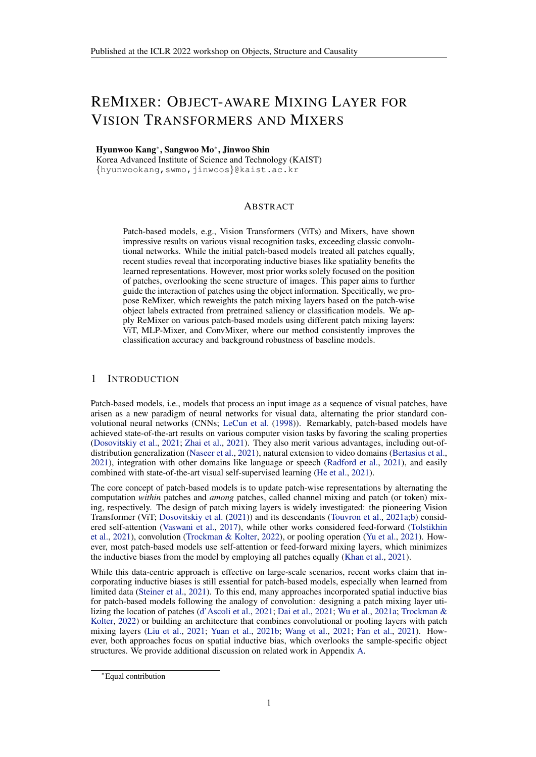#### ACKNOWLEDGMENTS

This research was supported by the Engineering Research Center Program through the National Research Foundation of Korea (NRF) funded by the Korean Government MSIT (NRF-2018R1A5A1059921). We thank Sihyun Yu, Jihoon Tack, Jaeho Lee, and Jongjin Park for constructive feedback.

#### **REFERENCES**

- Gedas Bertasius, Heng Wang, and Lorenzo Torresani. Is space-time attention all you need for video understanding? Imternational Conference on Machine Learnin2021.
- Lucas Beyer, Olivier J Henaff, Alexander Kolesnikov, Xiaohua Zhai, and noan den Oord. Are we done with imagenet arXiv preprint arXiv: 2006.071592020.
- Andrew Brock, Jeff Donahue, and Karen Simonyan. Large scale gan training for high -delity natural image synthesis. Imternational Conference on Learning Representations 9.
- Andrew Brock, Soham De, Samuel L Smith, and Karen Simonyan. High-performance large-scale image recognition without normalization. International Conference on Machine Learning 2021.
- Tom B Brown, Benjamin Mann, Nick Ryder, Melanie Subbiah, Jared Kaplan, Prafulla Dhariwal, Arvind Neelakantan, Pranav Shyam, Girish Sastry, Amanda Askell, et al. Language models are few-shot learners. In Advances in Neural Information Processing System 20.
- Nicolas Carion, Francisco Massa, Gabriel Synnaeve, Nicolas Usunier, Alexander Kirillov, and Sergey Zagoruyko. End-to-end object detection with transformersEulopean Conference on Computer Vision 2020.
- Mathilde Caron, Hugo Touvron, Ishan Misra, Hérvégou, Julien Mairal, Piotr Bojanowski, and Armand Joulin. Emerging properties in self-supervised vision transformers. En International Conference on Computer Visio2021.
- Hila Chefer, Shir Gur, and Lior Wolf. Transformer interpretability beyond attention visualization. In IEEE Conference on Computer Vision and Pattern Recognia001.
- Zihang Dai, Hanxiao Liu, Quoc V Le, and Mingxing Tan. Coatnet: Marrying convolution and attention for all data sizes. Indvances in Neural Information Processing System 81.
- Stéphane d'Ascoli, Hugo Touvron, Matthew Leavitt, Ari Morcos, Giulio Biroli, and Levent Sagun. Convit: Improving vision transformers with soft convolutional inductive biases in ternational Conference on Machine Learning021.
- Jia Deng, Wei Dong, Richard Socher, Li-Jia Li, Kai Li, and Li Fei-Fei. Imagenet: A large-scale hierarchical image database. IEEE Conference on Computer Vision and Pattern Recognition 2009.
- Jacob Devlin, Ming-Wei Chang, Kenton Lee, and Kristina Toutanova. Bert: Pre-training of deep bidirectional transformers for language understanding. In Anual Conference of the North American Chapter of the Association for Computational LinguistRG19.
- Alexey Dosovitskiy, Lucas Beyer, Alexander Kolesnikov, Dirk Weissenborn, Xiaohua Zhai, Thomas Unterthiner, Mostafa Dehghani, Matthias Minderer, Georg Heigold, Sylvain Gelly, et al. An image is worth 16x16 words: Transformers for image recognition at scalete mational Conference on Learning Representations 921.
- Haoqi Fan, Bo Xiong, Karttikeya Mangalam, Yanghao Li, Zhicheng Yan, Jitendra Malik, and Christoph Feichtenhofer. Multiscale vision transformers. **IEEE** International Conference on Computer Vision2021.
- Yuxin Fang, Bencheng Liao, Xinggang Wang, Jiemin Fang, Jiyang Qi, Rui Wu, Jianwei Niu, and Wenyu Liu. You only look at one sequence: Rethinking transformer in vision through object detection. InAdvances in Neural Information Processing System<sup>31</sup>.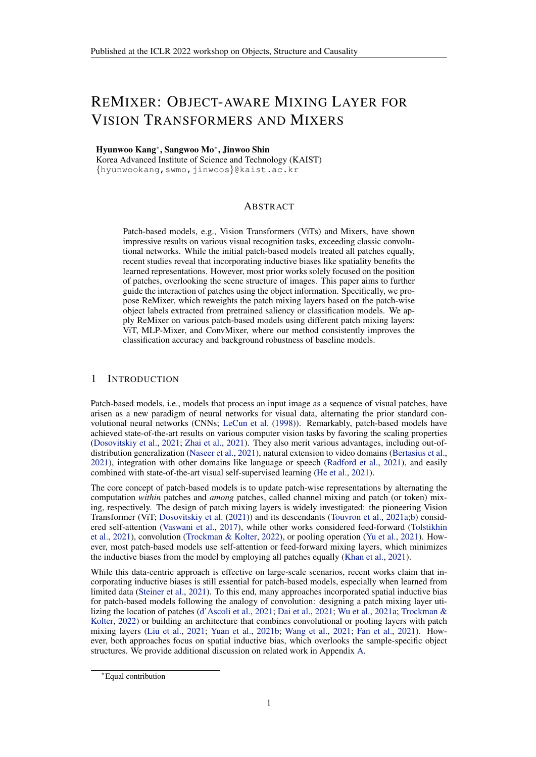Robert Geirhos, Patricia Rubisch, Claudio Michaelis, Matthias Bethge, Felix A Wichmann, and Wieland Brendel. Imagenet-trained cnns are biased towards texture; increasing shape bias improves accuracy and robustness. International Conference on Learning Representations 9.

Ross Girshick. Fast r-cnn. IEEE International Conference on Computer Visi@015.

- Kaiming He, Georgia Gkioxari, Piotr Dall, and Ross Girshick. Mask r-cnn. In EE International Conference on Computer Visio2017.
- Kaiming He, Xinlei Chen, Saining Xie, Yanghao Li, Piotr Darl, and Ross Girshick. Masked autoencoders are scalable vision learner iv preprint arXiv: 2111.0637, 72021.
- Dan Hendrycks, Steven Basart, Norman Mu, Saurav Kadavath, Frank Wang, Evan Dorundo, Rahul Desai, Tyler Zhu, Samyak Parajuli, Mike Guo, Dawn Song, Jacob Steinhardt, and Justin Gilmer. The many faces of robustness: A critical analysis of out-of-distribution generalization. IEE International Conference on Computer Vision 21.
- Byeongho Heo, Sangdoo Yun, Dongyoon Han, Sanghyuk Chun, Junsuk Choe, and Seong Joon Oh. Rethinking spatial dimensions of vision transformers. EIEE International Conference on Computer Vision2021.
- Roei Herzig, Elad Ben-Avraham, Karttikeya Mangalam, Amir Bar, Gal Chechik, Anna Rohrbach, Trevor Darrell, and Amir Globerson. Object-region video transformerarXiv preprint arXiv:2110.069152021.
- Zihang Jiang, Qibin Hou, Li Yuan, Daquan Zhou, Yujun Shi, Xiaojie Jin, Anran Wang, and Jiashi Feng. All tokens matter: Token labeling for training better vision transformers divances in Neural Information Processing System 821.
- Salman Khan, Muzammal Naseer, Munawar Hayat, Syed Waqas Zamir, Fahad Shahbaz Khan, and Mubarak Shah. Transformers in vision: A survayXiv preprint arXiv:2101.0116, 92021.
- Thomas Kipf, Gamaleldin F Elsayed, Aravindh Mahendran, Austin Stone, Sara Sabour, Georg Heigold, Rico Jonschkowski, Alexey Dosovitskiy, and Klaus Greff. Conditional object-centric learning from video.arXiv preprint arXiv:2111.125942021.
- Yann LeCun, Léon Bottou, Yoshua Bengio, and Patrick Haffner. Gradient-based learning applied to document recognitionProceedings of the IEEB6(11):2278-2324, 1998.
- Dongze Lian, Zehao Yu, Xing Sun, and Shenghua Gao. As-mlp: An axial shifted mlp architecture for vision. arXiv preprint arXiv: 2107.0839,12021.
- Ze Liu, Yutong Lin, Yue Cao, Han Hu, Yixuan Wei, Zheng Zhang, Stephen Lin, and Baining Guo. Swin transformer: Hierarchical vision transformer using shifted windows: EFE International Conference on Computer Visio2021.
- Francesco Locatello, Dirk Weissenborn, Thomas Unterthiner, Aravindh Mahendran, Georg Heigold, Jakob Uszkoreit, Alexey Dosovitskiy, and Thomas Kipf. Object-centric learning with slot attention. In Advances in Neural Information Processing System<sup>30</sup>.
- Sangwoo Mo, Hyunwoo Kang, Kihyuk Sohn, Chun-Liang Li, and Jinwoo Shin. Object-aware contrastive learning for debiased scene representationed annours in Neural Information Processing Systems2021.
- Muzammal Naseer, Kanchana Ranasinghe, Salman Khan, Munawar Hayat, Fahad Shahbaz Khan, and Ming-Hsuan Yang. Intriguing properties of vision transformers. Ad wances in Neural Information Processing System 2021.
- Alec Radford, Jong Wook Kim, Chris Hallacy, Aditya Ramesh, Gabriel Goh, Sandhini Agarwal, Girish Sastry, Amanda Askell, Pamela Mishkin, Jack Clark, et al. Learning transferable visual models from natural language supervision. International Conference on Machine Learning 2021.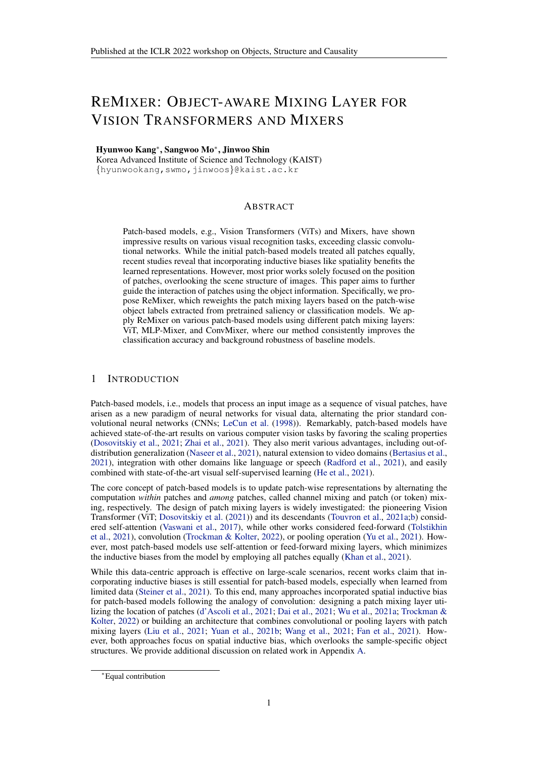- Maithra Raghu, Thomas Unterthiner, Simon Kornblith, Chiyuan Zhang, and Alexey Dosovitskiy. Do vision transformers see like convolutional neural networks? Admances in Neural Information Processing System 8021.
- Benjamin Recht, Rebecca Roelofs, Ludwig Schmidt, and Vaishaal Shankar. Do imagenet classi ers generalize to imagenet? International Conference on Machine Learnin 2019.
- Carsten Rother, Vladimir Kolmogorov, and Andrew Blake. " grabcut" interactive foreground extraction using iterated graph cuts. CM transactions on graphics (TOG33(3):309–314, 2004.
- Ramprasaath R Selvaraju, Michael Cogswell, Abhishek Das, Ramakrishna Vedantam, Devi Parikh, and Dhruv Batra. Grad-cam: Visual explanations from deep networks via gradient-based localization. InIEEE International Conference on Computer Visi@017.
- Andreas Steiner, Alexander Kolesnikov, Xiaohua Zhai, Ross Wightman, Jakob Uszkoreit, and Lucas Beyer. How to train your vit? data, augmentation, and regularization in vision transformers. preprint arXiv: 2106.102702021.
- Ilya Tolstikhin, Neil Houlsby, Alexander Kolesnikov, Lucas Beyer, Xiaohua Zhai, Thomas Unterthiner, Jessica Yung, Daniel Keysers, Jakob Uszkoreit, Mario Lucic, et al. Mlp-mixer: An all-mlp architecture for vision. InAdvances in Neural Information Processing Systemation
- Hugo Touvron, Matthieu Cord, Matthijs Douze, Francisco Massa, Alexandre Sablayrolles, and Hervé Jégou. Training data-ef cient image transformers & distillation through attention. In International Conference on Machine Learnin2021a.
- Hugo Touvron, Matthieu Cord, Alexandre Sablayrolles, Gabriel Synnaeve, and Herou. Going deeper with image transformers. IEEE International Conference on Computer Visian 21b.
- Asher Trockman and Zico J. Kolter. Patches are all you nead Xiv preprint arXiv: 2201.09792 2022.
- Ashish Vaswani, Noam Shazeer, Niki Parmar, Jakob Uszkoreit, Llion Jones, Aidan N Gomez, ukasz Kaiser, and Illia Polosukhin. Attention is all you need. Advances in Neural Information Processing System 2017.
- Andrey Voynov, Stanislav Morozov, and Artem Babenko. Object segmentation without labels with large-scale generative models. International Conference on Machine Learnin 2021.
- Haohan Wang, Songwei Ge, Zachary Lipton, and Eric P Xing. Learning robust global representations by penalizing local predictive power. Advances in Neural Information Processing Systems 2019.
- Wenhai Wang, Enze Xie, Xiang Li, Deng-Ping Fan, Kaitao Song, Ding Liang, Tong Lu, Ping Luo, and Ling Shao. Pyramid vision transformer: A versatile backbone for dense prediction without convolutions. InIEEE International Conference on Computer Visi@021.
- Haiping Wu, Bin Xiao, Noel Codella, Mengchen Liu, Xiyang Dai, Lu Yuan, and Lei Zhang. Cvt: Introducing convolutions to vision transformers. Xiv preprint arXiv:2103.1580, 82021a.
- Yi-Fu Wu, Jaesik Yoon, and Sungjin Ahn. Generative video transformer: Can objects be the words? In International Conference on Machine Learnin2021b.
- Kai Xiao, Logan Engstrom, Andrew Ilyas, and Aleksander Madry. Noise or signal: The role of image backgrounds in object recognition. International Conference on Learning Representations 2021a.
- Tete Xiao, Piotr Dollar, Mannat Singh, Eric Mintun, Trevor Darrell, and Ross Girshick. Early convolutions help transformers see better. In Neural Information Processing Systems 2021b.
- Weihao Yu, Mi Luo, Pan Zhou, Chenyang Si, Yichen Zhou, Xinchao Wang, Jiashi Feng, and Shuicheng Yan. Metaformer is actually what you need for vision and Shuicheng Yan. arXiv:2111.114182021.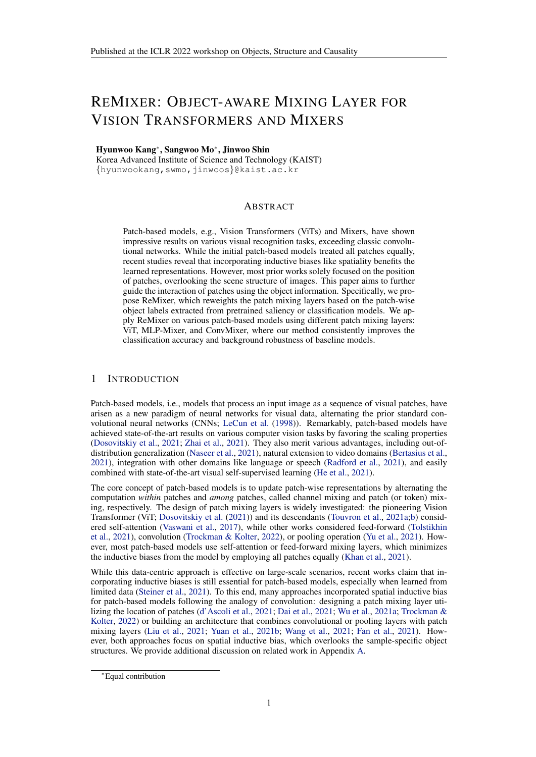- Kun Yuan, Shaopeng Guo, Ziwei Liu, Aojun Zhou, Fengwei Yu, and Wei Wu. Incorporating convolution designs into visual transformers. IFEE International Conference on Computer Vision 2021a.
- Li Yuan, Yunpeng Chen, Tao Wang, Weihao Yu, Yujun Shi, Zihang Jiang, Francis EH Tay, Jiashi Feng, and Shuicheng Yan. Tokens-to-token vit: Training vision transformers from scratch on imagenet. InEEE International Conference on Computer Visi@021b.
- Sangdoo Yun, Seong Joon Oh, Byeongho Heo, Dongyoon Han, Junsuk Choe, and Sanghyuk Chun. Re-labeling imagenet: from single to multi-labels, from global to localized labell ELLE Conference on Computer Vision and Pattern Recognit20021.
- Xiaohua Zhai, Alexander Kolesnikov, Neil Houlsby, and Lucas Beyer. Scaling vision transformers. arXiv preprint arXiv: 2106.0456, 02021.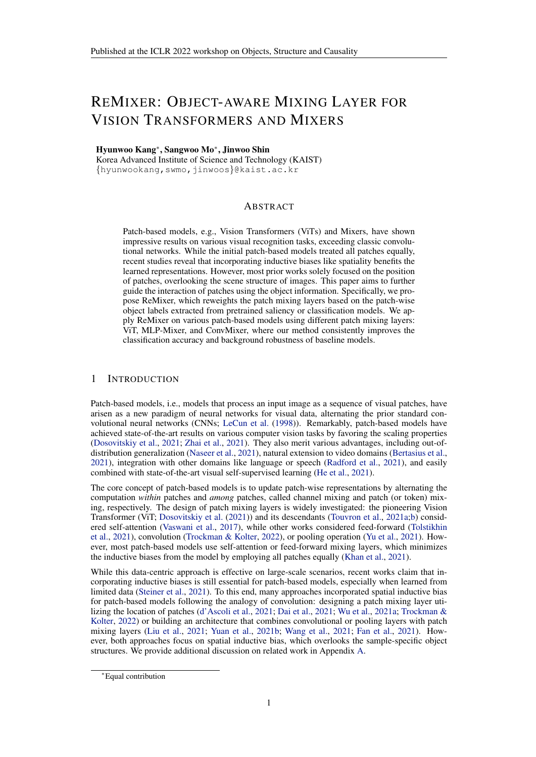#### <span id="page-9-0"></span>A RELATED WORK

Patch-based models. Inspired by the success of Transformers (or self-attention; Vaswani et al. (2017)) in natural language processing (Devlin et al., 2019; Brown et al., 2020), numerous works have attempted to extend Transformers for computer vision (Khan et al., 2021). In particular, the seminal work named Vision Transformer (ViT; Dosovitskiy et al. (2021)) discovered that Transformer could achieve state-of-the-art performance, exceeding prior popular convolutional neural networks (CNNs; LeCun et al. (1998)). Thereafter, other studies revealed that different patch mixing layers such as feed-forward (Tolstikhin et al., 2021), convolution (Trockman & Kolter, 2022), or pooling (Yu et al., 2021) show comparable performance to self-attention, hypothesizing that the success of ViT comes from the patch-based architectures. Our work proposes an architecture-agnostic framework to improve the patch-based models by reweighting their patch mixing layers.

Inductive bias for patch-based models. Many patch-based models aim to remove inductive biases by using patch mixing layers without additional structures, e.g., self-attention. While they perform well on large data regimes, recent works reveal that inductive biases are still crucial for patch-based models, especially under limited data (Steiner et al., 2021). Consequently, extensive literature proposed approaches to incorporate additional structures for patch-based models, e.g., spatial structures of CNNs. One line of work aims to design patch mixing layers reflecting inductive biases. For example, ConViT (d'Ascoli et al., 2021) and CoAtNet (Dai et al., 2021) calibrate self-attention with spatial distance between patches, CvT (Wu et al., 2021a) and ConvMixer (Trockman & Kolter, 2022) utilize convolution operation for patch mixing, and AS-MLP (Lian et al., 2021) design a structured operation aggregating the values from different axises. Another line of work build an architecture that combines convolutional or pooling layers with patch mixing layers Liu et al. (2021); Yuan et al. (2021b); Wang et al. (2021); Fan et al. (2021); Heo et al. (2021); Yuan et al. (2021a); Xiao et al. (2021b). Our work falls into the first category; however, we leverage the object structure of images, unlike prior works focused on the spatial inductive bias. Using rich information, our proposed ReMixer outperforms ConViT and CoAtNet, where using both ConViT and ReMixer gives further improvements, implying that two methods contribute to the model differently (see Table 2). We also emphasize that ReMixer can be applied on any patch mixing layers under a common principle, unlike prior works designed for specific layers such as self-attention or feed-forward.

Incorporating object structures. Although objects are the atom of visual scenes, only a limited number of research has leveraged the object structure of images for visual recognition (e.g., classification). This is mainly due to two reasons: (a) the cost of collecting object labels and (b) non-triviality of reflecting object information to the black-box deep learning models. However, both challenges have been relaxed by the rapid advance of deep learning. First, the progress of supervised (He et al., 2017; Carion et al., 2020; Fang et al., 2021), weakly-supervised (Selvaraju et al., 2017; Chefer et al., 2021; Yun et al., 2021), and self-supervised (Voynov et al., 2021; Caron et al., 2021; Mo et al., 2021) detection significantly reduced the cost of object labels. We utilize the pretrained BigBiGAN (Voynov et al., 2021) and ReLabel (Yun et al., 2021) models for our experiments; one could also train weakly- or self-supervised object annotators on their datasets. Second, the patch-based models are well-suited with object information (unlike CNNs) as the patch embeddings preserve their spatial information (Raghu et al., 2021). Using this property, ReMixer adjusts the interaction of patch embeddings using object labels. ORViT (Herzig et al., 2021) also direct ViT to focus on the object regions by creating extra object tokens. However, their goal is to guide video Transformers to track the trajectory of objects and are less suited for image classification. On the other hand, TokenLabeling (Jiang et al., 2021) implicitly utilizes the object information by using them as additional supervision for patch embeddings; it provides an orthogonal gain from ReMixer (see Table 6). We finally note that several works (Locatello et al., 2020; Wu et al., 2021b; Kipf et al., 2021) aim to disentangle the object features explicitly. However, they do not scale yet to the complex real-world images due to the strong constraints in the model. In contrast, ReMixer can be applied to any existing patch-based models with minimal modification.